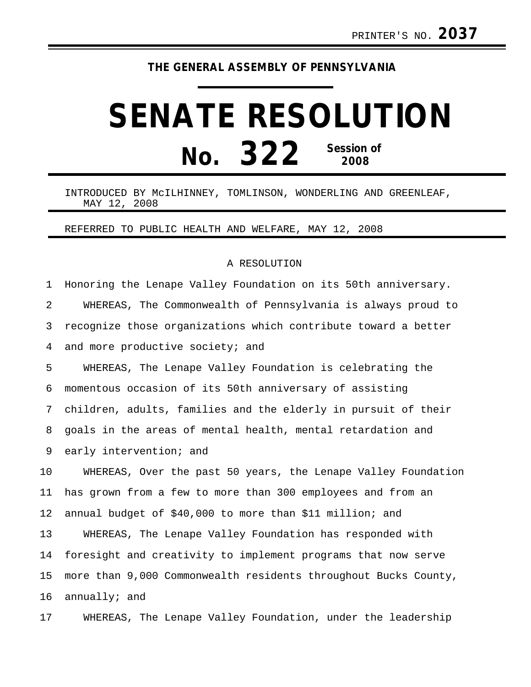## **THE GENERAL ASSEMBLY OF PENNSYLVANIA**

## **SENATE RESOLUTION No. 322 Session of 2008**

## INTRODUCED BY McILHINNEY, TOMLINSON, WONDERLING AND GREENLEAF, MAY 12, 2008

REFERRED TO PUBLIC HEALTH AND WELFARE, MAY 12, 2008

## A RESOLUTION

1 Honoring the Lenape Valley Foundation on its 50th anniversary. 2 WHEREAS, The Commonwealth of Pennsylvania is always proud to 3 recognize those organizations which contribute toward a better 4 and more productive society; and

5 WHEREAS, The Lenape Valley Foundation is celebrating the 6 momentous occasion of its 50th anniversary of assisting 7 children, adults, families and the elderly in pursuit of their 8 goals in the areas of mental health, mental retardation and 9 early intervention; and

10 WHEREAS, Over the past 50 years, the Lenape Valley Foundation 11 has grown from a few to more than 300 employees and from an 12 annual budget of \$40,000 to more than \$11 million; and

13 WHEREAS, The Lenape Valley Foundation has responded with 14 foresight and creativity to implement programs that now serve 15 more than 9,000 Commonwealth residents throughout Bucks County, 16 annually; and

17 WHEREAS, The Lenape Valley Foundation, under the leadership